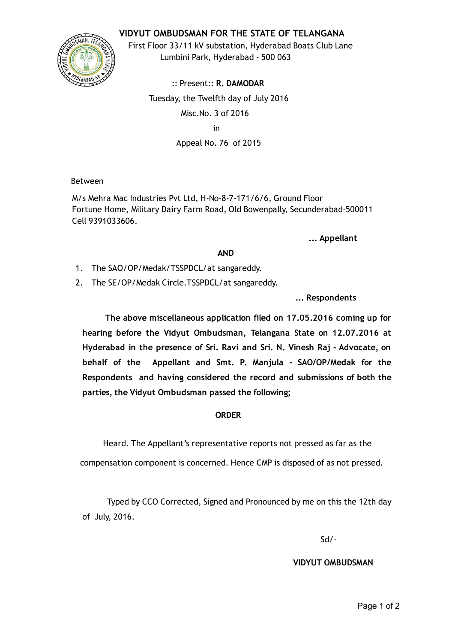## VIDYUT OMBUDSMAN FOR THE STATE OF TELANGANA



First Floor 33/11 kV substation, Hyderabad Boats Club Lane Lumbini Park, Hyderabad ‐ 500 063

:: Present:: R. DAMODAR Tuesday, the Twelfth day of July 2016 Misc.No. 3 of 2016 in Appeal No. 76 of 2015

Between

M/s Mehra Mac Industries Pvt Ltd, H‐No‐8‐7‐171/6/6, Ground Floor Fortune Home, Military Dairy Farm Road, Old Bowenpally, Secunderabad‐500011 Cell 9391033606.

... Appellant

## AND

- 1. The SAO/OP/Medak/TSSPDCL/at sangareddy.
- 2. The SE/OP/Medak Circle.TSSPDCL/at sangareddy.

... Respondents

The above miscellaneous application filed on 17.05.2016 coming up for hearing before the Vidyut Ombudsman, Telangana State on 12.07.2016 at Hyderabad in the presence of Sri. Ravi and Sri. N. Vinesh Raj ‐ Advocate, on behalf of the Appellant and Smt. P. Manjula ‐ SAO/OP/Medak for the Respondents and having considered the record and submissions of both the parties, the Vidyut Ombudsman passed the following;

## ORDER

Heard. The Appellant's representative reports not pressed as far as the

compensation component is concerned. Hence CMP is disposed of as not pressed.

Typed by CCO Corrected, Signed and Pronounced by me on this the 12th day of July, 2016.

Sd/‐

VIDYUT OMBUDSMAN